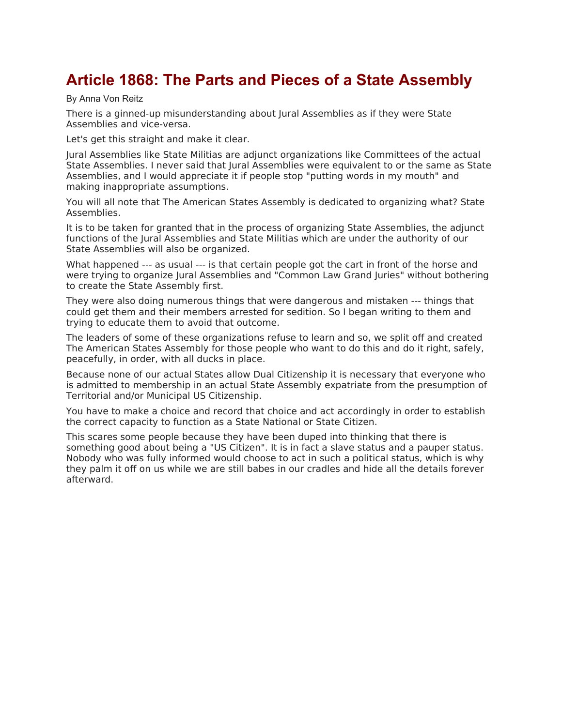## **Article 1868: The Parts and Pieces of a State Assembly**

By Anna Von Reitz

There is a ginned-up misunderstanding about Jural Assemblies as if they were State Assemblies and vice-versa.

Let's get this straight and make it clear.

Jural Assemblies like State Militias are adjunct organizations like Committees of the actual State Assemblies. I never said that Jural Assemblies were equivalent to or the same as State Assemblies, and I would appreciate it if people stop "putting words in my mouth" and making inappropriate assumptions.

You will all note that The American States Assembly is dedicated to organizing what? State Assemblies.

It is to be taken for granted that in the process of organizing State Assemblies, the adjunct functions of the Jural Assemblies and State Militias which are under the authority of our State Assemblies will also be organized.

What happened --- as usual --- is that certain people got the cart in front of the horse and were trying to organize Jural Assemblies and "Common Law Grand Juries" without bothering to create the State Assembly first.

They were also doing numerous things that were dangerous and mistaken --- things that could get them and their members arrested for sedition. So I began writing to them and trying to educate them to avoid that outcome.

The leaders of some of these organizations refuse to learn and so, we split off and created The American States Assembly for those people who want to do this and do it right, safely, peacefully, in order, with all ducks in place.

Because none of our actual States allow Dual Citizenship it is necessary that everyone who is admitted to membership in an actual State Assembly expatriate from the presumption of Territorial and/or Municipal US Citizenship.

You have to make a choice and record that choice and act accordingly in order to establish the correct capacity to function as a State National or State Citizen.

This scares some people because they have been duped into thinking that there is something good about being a "US Citizen". It is in fact a slave status and a pauper status. Nobody who was fully informed would choose to act in such a political status, which is why they palm it off on us while we are still babes in our cradles and hide all the details forever afterward.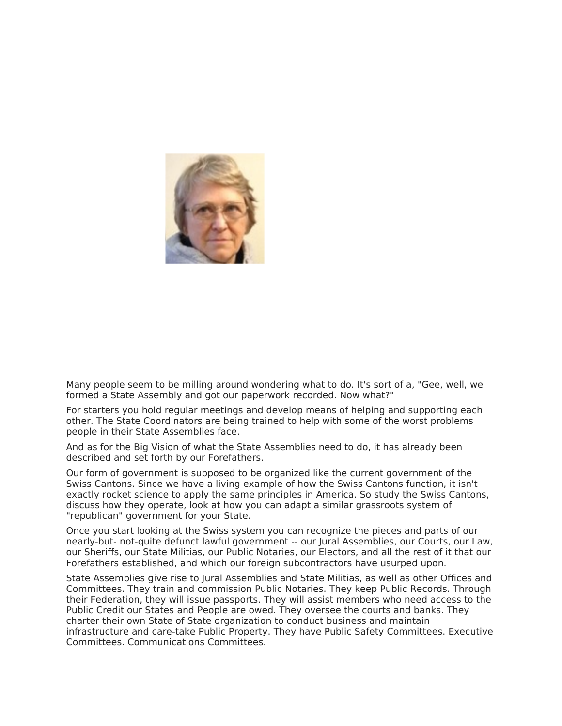

Many people seem to be milling around wondering what to do. It's sort of a, "Gee, well, we formed a State Assembly and got our paperwork recorded. Now what?"

For starters you hold regular meetings and develop means of helping and supporting each other. The State Coordinators are being trained to help with some of the worst problems people in their State Assemblies face.

And as for the Big Vision of what the State Assemblies need to do, it has already been described and set forth by our Forefathers.

Our form of government is supposed to be organized like the current government of the Swiss Cantons. Since we have a living example of how the Swiss Cantons function, it isn't exactly rocket science to apply the same principles in America. So study the Swiss Cantons, discuss how they operate, look at how you can adapt a similar grassroots system of "republican" government for your State.

Once you start looking at the Swiss system you can recognize the pieces and parts of our nearly-but- not-quite defunct lawful government -- our Jural Assemblies, our Courts, our Law, our Sheriffs, our State Militias, our Public Notaries, our Electors, and all the rest of it that our Forefathers established, and which our foreign subcontractors have usurped upon.

State Assemblies give rise to Jural Assemblies and State Militias, as well as other Offices and Committees. They train and commission Public Notaries. They keep Public Records. Through their Federation, they will issue passports. They will assist members who need access to the Public Credit our States and People are owed. They oversee the courts and banks. They charter their own State of State organization to conduct business and maintain infrastructure and care-take Public Property. They have Public Safety Committees. Executive Committees. Communications Committees.